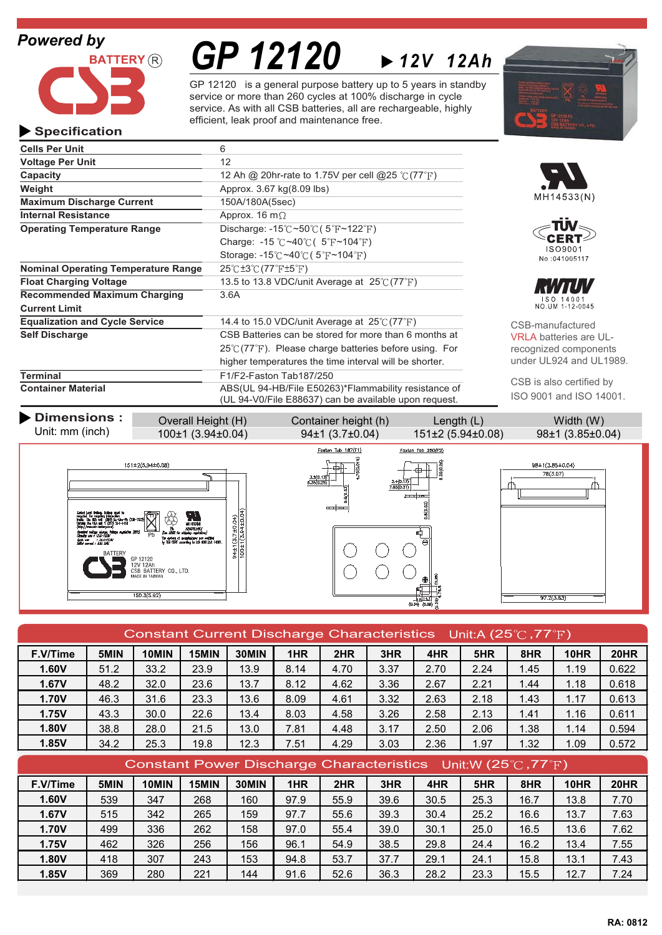### *Powered by*



# *GP 12120*

GP 12120 is a general purpose battery up to 5 years in standby service or more than 260 cycles at 100% discharge in cycle service. As with all CSB batteries, all are rechargeable, highly efficient, leak proof and maintenance free.

*12V 12Ah*



#### **Specification**

| <b>Cells Per Unit</b>                      | 6                                                                                                     |                               |
|--------------------------------------------|-------------------------------------------------------------------------------------------------------|-------------------------------|
| <b>Voltage Per Unit</b>                    | 12                                                                                                    |                               |
| Capacity                                   | 12 Ah @ 20hr-rate to 1.75V per cell @25 $\degree$ C (77 $\degree$ F)                                  |                               |
| Weight                                     | Approx. 3.67 kg(8.09 lbs)                                                                             |                               |
| <b>Maximum Discharge Current</b>           | 150A/180A(5sec)                                                                                       | MH14533(N)                    |
| <b>Internal Resistance</b>                 | Approx. 16 m $\Omega$                                                                                 |                               |
| <b>Operating Temperature Range</b>         | Discharge: -15 $\degree$ C ~50 $\degree$ C (5 $\degree$ F ~122 $\degree$ F)                           |                               |
|                                            | Charge: -15 $\degree$ C ~40 $\degree$ C (5 $\degree$ F ~104 $\degree$ F)                              |                               |
|                                            | Storage: $-15^{\circ}$ C ~40 $\circ$ C (5 $\circ$ F ~104 $\circ$ F)                                   | ISO9001<br>No:041005117       |
| <b>Nominal Operating Temperature Range</b> | $25^{\circ}$ $\text{C}$ ±3 $^{\circ}$ $\text{C}$ (77 $^{\circ}$ $\text{F}$ ±5 $^{\circ}$ $\text{F}$ ) |                               |
| <b>Float Charging Voltage</b>              | 13.5 to 13.8 VDC/unit Average at $25^{\circ}C(77^{\circ}F)$                                           | an din ka                     |
| <b>Recommended Maximum Charging</b>        | 3.6A                                                                                                  | ISO 14001                     |
| <b>Current Limit</b>                       |                                                                                                       | NO. UM 1-12-0045              |
| <b>Equalization and Cycle Service</b>      | 14.4 to 15.0 VDC/unit Average at $25^{\circ}C(77^{\circ}F)$                                           | CSB-manufactured              |
| <b>Self Discharge</b>                      | CSB Batteries can be stored for more than 6 months at                                                 | <b>VRLA batteries are UL-</b> |
|                                            | $25^{\circ}$ (77 $^{\circ}$ F). Please charge batteries before using. For                             | recognized components         |
|                                            | higher temperatures the time interval will be shorter.                                                | under UL924 and UL1989.       |
| <b>Terminal</b>                            | F1/F2-Faston Tab187/250                                                                               |                               |
| <b>Container Material</b>                  | ABS(UL 94-HB/File E50263)*Flammability resistance of                                                  | CSB is also certified by      |
|                                            | (UL 94-V0/File E88637) can be available upon request.                                                 | ISO 9001 and ISO 14001.       |
|                                            |                                                                                                       |                               |



| Constant Current Discharge Characteristics Unit:A (25 $\degree$ C, 77 $\degree$ F) |      |       |       |       |      |      |      |      |      |      |             |             |
|------------------------------------------------------------------------------------|------|-------|-------|-------|------|------|------|------|------|------|-------------|-------------|
| F.V/Time                                                                           | 5MIN | 10MIN | 15MIN | 30MIN | 1HR  | 2HR  | 3HR  | 4HR  | 5HR  | 8HR  | <b>10HR</b> | <b>20HR</b> |
| 1.60V                                                                              | 51.2 | 33.2  | 23.9  | 13.9  | 8.14 | 4.70 | 3.37 | 2.70 | 2.24 | 1.45 | 1.19        | 0.622       |
| 1.67V                                                                              | 48.2 | 32.0  | 23.6  | 13.7  | 8.12 | 4.62 | 3.36 | 2.67 | 2.21 | 1.44 | 1.18        | 0.618       |
| <b>1.70V</b>                                                                       | 46.3 | 31.6  | 23.3  | 13.6  | 8.09 | 4.61 | 3.32 | 2.63 | 2.18 | 1.43 | 1.17        | 0.613       |
| 1.75V                                                                              | 43.3 | 30.0  | 22.6  | 13.4  | 8.03 | 4.58 | 3.26 | 2.58 | 2.13 | 1.41 | 1.16        | 0.611       |
| 1.80V                                                                              | 38.8 | 28.0  | 21.5  | 13.0  | 7.81 | 4.48 | 3.17 | 2.50 | 2.06 | 1.38 | 1.14        | 0.594       |
| 1.85V                                                                              | 34.2 | 25.3  | 19.8  | 12.3  | 7.51 | 4.29 | 3.03 | 2.36 | 1.97 | 1.32 | 1.09        | 0.572       |
| Constant Power Discharge Characteristics Unit:W (25 $\degree$ C, 77 $\degree$ F)   |      |       |       |       |      |      |      |      |      |      |             |             |
| F.V/Time                                                                           | 5MIN | 10MIN | 15MIN | 30MIN | 1HR  | 2HR  | 3HR  | 4HR  | 5HR  | 8HR  | <b>10HR</b> | <b>20HR</b> |
| 1.60V                                                                              | 539  | 347   | 268   | 160   | 97.9 | 55.9 | 39.6 | 30.5 | 25.3 | 16.7 | 13.8        | 7.70        |
| 1.67V                                                                              | 515  | 342   | 265   | 159   | 97.7 | 55.6 | 39.3 | 30.4 | 25.2 | 16.6 | 13.7        | 7.63        |
| 1.70V                                                                              | 499  | 336   | 262   | 158   | 97.0 | 55.4 | 39.0 | 30.1 | 25.0 | 16.5 | 13.6        | 7.62        |
| <b>1.75V</b>                                                                       | 462  | 326   | 256   | 156   | 96.1 | 54.9 | 38.5 | 29.8 | 24.4 | 16.2 | 13.4        | 7.55        |
| 1.80V                                                                              | 418  | 307   | 243   | 153   | 94.8 | 53.7 | 37.7 | 29.1 | 24.1 | 15.8 | 13.1        | 7.43        |
| 1.85V                                                                              | 369  | 280   | 221   | 144   | 91.6 | 52.6 | 36.3 | 28.2 | 23.3 | 15.5 | 12.7        | 7.24        |